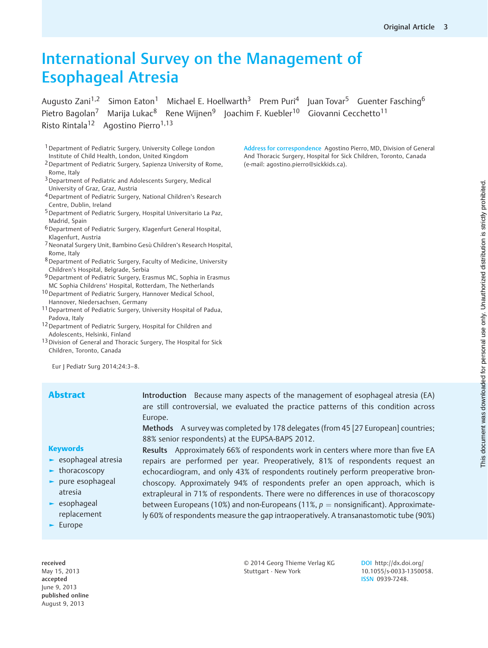# International Survey on the Management of Esophageal Atresia

Augusto Zani<sup>1,2</sup> Simon Eaton<sup>1</sup> Michael E. Hoellwarth<sup>3</sup> Prem Puri<sup>4</sup> Juan Tovar<sup>5</sup> Guenter Fasching<sup>6</sup> Pietro Bagolan<sup>7</sup> Marija Lukac<sup>8</sup> Rene Wijnen<sup>9</sup> Joachim F. Kuebler<sup>10</sup> Giovanni Cecchetto<sup>11</sup> Risto Rintala<sup>12</sup> Agostino Pierro<sup>1,13</sup>

<sup>1</sup> Department of Pediatric Surgery, University College London Institute of Child Health, London, United Kingdom

- 2Department of Pediatric Surgery, Sapienza University of Rome, Rome, Italy
- 3Department of Pediatric and Adolescents Surgery, Medical University of Graz, Graz, Austria
- 4Department of Pediatric Surgery, National Children's Research Centre, Dublin, Ireland
- 5Department of Pediatric Surgery, Hospital Universitario La Paz, Madrid, Spain
- 6Department of Pediatric Surgery, Klagenfurt General Hospital, Klagenfurt, Austria
- 7Neonatal Surgery Unit, Bambino Gesù Children's Research Hospital, Rome, Italy
- 8Department of Pediatric Surgery, Faculty of Medicine, University Children's Hospital, Belgrade, Serbia
- 9Department of Pediatric Surgery, Erasmus MC, Sophia in Erasmus MC Sophia Childrens' Hospital, Rotterdam, The Netherlands
- <sup>10</sup> Department of Pediatric Surgery, Hannover Medical School, Hannover, Niedersachsen, Germany
- 11Department of Pediatric Surgery, University Hospital of Padua, Padova, Italy
- <sup>12</sup> Department of Pediatric Surgery, Hospital for Children and Adolescents, Helsinki, Finland
- 13 Division of General and Thoracic Surgery, The Hospital for Sick Children, Toronto, Canada

Eur J Pediatr Surg 2014;24:3–8.

**Abstract** Introduction Because many aspects of the management of esophageal atresia (EA) are still controversial, we evaluated the practice patterns of this condition across Europe.

> Methods A survey was completed by 178 delegates (from 45 [27 European] countries; 88% senior respondents) at the EUPSA-BAPS 2012.

**Keywords** 

- ► esophageal atresia
- ► thoracoscopy
- ► pure esophageal atresia
- ► esophageal replacement
- ► Europe

received May 15, 2013 accepted June 9, 2013 published online August 9, 2013

Results Approximately 66% of respondents work in centers where more than five EA repairs are performed per year. Preoperatively, 81% of respondents request an echocardiogram, and only 43% of respondents routinely perform preoperative bronchoscopy. Approximately 94% of respondents prefer an open approach, which is extrapleural in 71% of respondents. There were no differences in use of thoracoscopy between Europeans (10%) and non-Europeans (11%,  $p =$  nonsignificant). Approximately 60% of respondents measure the gap intraoperatively. A transanastomotic tube (90%)

> © 2014 Georg Thieme Verlag KG Stuttgart · New York

DOI [http://dx.doi.org/](http://dx.doi.org/10.1055/s-0033-1350058) [10.1055/s-0033-1350058.](http://dx.doi.org/10.1055/s-0033-1350058) ISSN 0939-7248.

Address for correspondence Agostino Pierro, MD, Division of General And Thoracic Surgery, Hospital for Sick Children, Toronto, Canada (e-mail: [agostino.pierro@sickkids.ca](mailto:agostino.pierro@sickkids.ca)).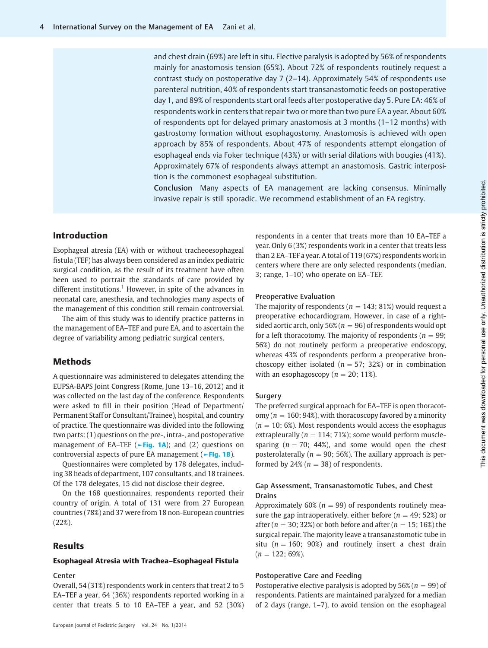and chest drain (69%) are left in situ. Elective paralysis is adopted by 56% of respondents mainly for anastomosis tension (65%). About 72% of respondents routinely request a contrast study on postoperative day 7 (2–14). Approximately 54% of respondents use parenteral nutrition, 40% of respondents start transanastomotic feeds on postoperative day 1, and 89% of respondents start oral feeds after postoperative day 5. Pure EA: 46% of respondents work in centers that repair two or more than two pure EA a year. About 60% of respondents opt for delayed primary anastomosis at 3 months (1–12 months) with gastrostomy formation without esophagostomy. Anastomosis is achieved with open approach by 85% of respondents. About 47% of respondents attempt elongation of esophageal ends via Foker technique (43%) or with serial dilations with bougies (41%). Approximately 67% of respondents always attempt an anastomosis. Gastric interposition is the commonest esophageal substitution.

Conclusion Many aspects of EA management are lacking consensus. Minimally invasive repair is still sporadic. We recommend establishment of an EA registry.

# Introduction

Esophageal atresia (EA) with or without tracheoesophageal fistula (TEF) has always been considered as an index pediatric surgical condition, as the result of its treatment have often been used to portrait the standards of care provided by different institutions.<sup>1</sup> However, in spite of the advances in neonatal care, anesthesia, and technologies many aspects of the management of this condition still remain controversial.

The aim of this study was to identify practice patterns in the management of EA–TEF and pure EA, and to ascertain the degree of variability among pediatric surgical centers.

# Methods

A questionnaire was administered to delegates attending the EUPSA-BAPS Joint Congress (Rome, June 13–16, 2012) and it was collected on the last day of the conference. Respondents were asked to fill in their position (Head of Department/ Permanent Staff or Consultant/Trainee), hospital, and country of practice. The questionnaire was divided into the following two parts: (1) questions on the pre-, intra-, and postoperative management of EA–TEF ( $\blacktriangleright$ Fig. 1A); and (2) questions on controversial aspects of pure EA management (►Fig. 1B).

Questionnaires were completed by 178 delegates, including 38 heads of department, 107 consultants, and 18 trainees. Of the 178 delegates, 15 did not disclose their degree.

On the 168 questionnaires, respondents reported their country of origin. A total of 131 were from 27 European countries (78%) and 37 were from 18 non-European countries (22%).

# Results

#### Esophageal Atresia with Trachea–Esophageal Fistula

#### Center

Overall, 54 (31%) respondents work in centers that treat 2 to 5 EA–TEF a year, 64 (36%) respondents reported working in a center that treats 5 to 10 EA–TEF a year, and 52 (30%)

European Journal of Pediatric Surgery Vol. 24 No. 1/2014

respondents in a center that treats more than 10 EA–TEF a year. Only 6 (3%) respondents work in a center that treats less than 2 EA–TEF a year. A total of 119 (67%) respondents work in centers where there are only selected respondents (median, 3; range, 1–10) who operate on EA–TEF.

### Preoperative Evaluation

The majority of respondents ( $n = 143$ ; 81%) would request a preoperative echocardiogram. However, in case of a rightsided aortic arch, only 56% ( $n = 96$ ) of respondents would opt for a left thoracotomy. The majority of respondents ( $n = 99$ ; 56%) do not routinely perform a preoperative endoscopy, whereas 43% of respondents perform a preoperative bronchoscopy either isolated ( $n = 57$ ; 32%) or in combination with an esophagoscopy ( $n = 20$ ; 11%).

## Surgery

The preferred surgical approach for EA–TEF is open thoracotomy ( $n = 160$ ; 94%), with thoracoscopy favored by a minority  $(n = 10; 6\%)$ . Most respondents would access the esophagus extrapleurally ( $n = 114$ ; 71%); some would perform musclesparing ( $n = 70$ ; 44%), and some would open the chest posterolaterally ( $n = 90$ ; 56%). The axillary approach is performed by 24% ( $n = 38$ ) of respondents.

# Gap Assessment, Transanastomotic Tubes, and Chest Drains

Approximately 60% ( $n = 99$ ) of respondents routinely measure the gap intraoperatively, either before ( $n = 49$ ; 52%) or after ( $n = 30$ ; 32%) or both before and after ( $n = 15$ ; 16%) the surgical repair. The majority leave a transanastomotic tube in situ ( $n = 160$ ; 90%) and routinely insert a chest drain  $(n = 122; 69\%).$ 

# Postoperative Care and Feeding

Postoperative elective paralysis is adopted by  $56\%$  ( $n = 99$ ) of respondents. Patients are maintained paralyzed for a median of 2 days (range, 1–7), to avoid tension on the esophageal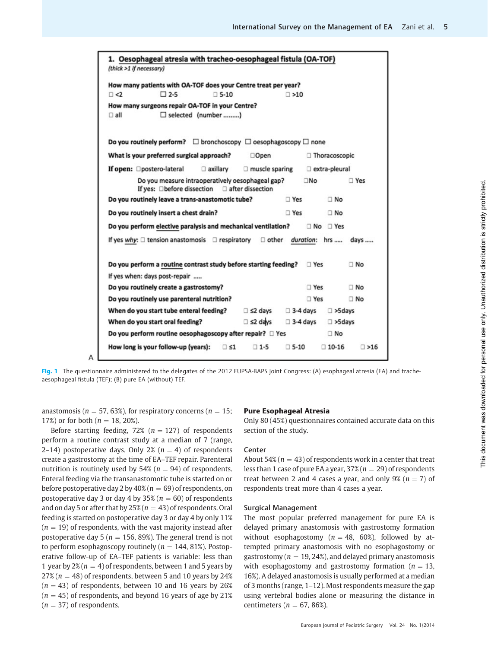| 1. Oesophageal atresia with tracheo-oesophageal fistula (OA-TOF)<br>(thick >1 if necessary)        |                                           |  |  |  |  |  |
|----------------------------------------------------------------------------------------------------|-------------------------------------------|--|--|--|--|--|
| How many patients with OA-TOF does your Centre treat per year?                                     |                                           |  |  |  |  |  |
| $\Box$ 2-5<br>$\square$ 5-10<br>$\Box$ <2                                                          | $\Box$ >10                                |  |  |  |  |  |
| How many surgeons repair OA-TOF in your Centre?                                                    |                                           |  |  |  |  |  |
| □ selected (number )<br>$\Box$ all                                                                 |                                           |  |  |  |  |  |
|                                                                                                    |                                           |  |  |  |  |  |
| Do you routinely perform? $\square$ bronchoscopy $\square$ oesophagoscopy $\square$ none           |                                           |  |  |  |  |  |
| What is your preferred surgical approach?<br>□Open                                                 | □ Thoracoscopic                           |  |  |  |  |  |
| If open: Opostero-lateral<br>$\Box$ axillary<br>$\Box$ muscle sparing                              | extra-pleural                             |  |  |  |  |  |
| Do you measure intraoperatively oesophageal gap?<br>If yes: □before dissection<br>after dissection | ΠNο<br>□ Yes                              |  |  |  |  |  |
| Do you routinely leave a trans-anastomotic tube?                                                   | $\Box$ Yes<br>$\neg$ No                   |  |  |  |  |  |
| Do you routinely insert a chest drain?                                                             | □ Yes<br>$\Box$ No                        |  |  |  |  |  |
| Do you perform elective paralysis and mechanical ventilation?<br>$\Box$ No $\Box$ Yes              |                                           |  |  |  |  |  |
| If yes why: $\Box$ tension anastomosis $\Box$ respiratory $\Box$ other duration: hrs<br>days       |                                           |  |  |  |  |  |
|                                                                                                    |                                           |  |  |  |  |  |
| Do you perform a routine contrast study before starting feeding?<br>$\Box$ No<br>$\Box$ Yes        |                                           |  |  |  |  |  |
| If yes when: days post-repair                                                                      |                                           |  |  |  |  |  |
| Do you routinely create a gastrostomy?                                                             | $\Box$ Yes<br>□ No                        |  |  |  |  |  |
| Do you routinely use parenteral nutrition?                                                         | $\Box$ No<br>□ Yes                        |  |  |  |  |  |
| When do you start tube enteral feeding?<br>$\Box$ $\leq$ 2 days                                    | $\Box$ 3-4 days<br>$\Box$ >5days          |  |  |  |  |  |
| $\Box$ s2 days<br>When do you start oral feeding?                                                  | $\Box$ 3-4 days<br>$\Box$ >5 days         |  |  |  |  |  |
| Do you perform routine oesophagoscopy after repair? □ Yes<br>$\Box$ No                             |                                           |  |  |  |  |  |
| How long is your follow-up (years):<br>$\Box$ $\leq$ 1<br>$\Box$ 1-5                               | $\Box$ 5-10<br>$\Box$ 10-16<br>$\Box$ >16 |  |  |  |  |  |
|                                                                                                    |                                           |  |  |  |  |  |

Fig. 1 The questionnaire administered to the delegates of the 2012 EUPSA-BAPS Joint Congress: (A) esophageal atresia (EA) and tracheaesophageal fistula (TEF); (B) pure EA (without) TEF.

anastomosis ( $n = 57,63\%$ ), for respiratory concerns ( $n = 15$ ; 17%) or for both ( $n = 18, 20\%$ ).

Δ

Before starting feeding, 72% ( $n = 127$ ) of respondents perform a routine contrast study at a median of 7 (range, 2–14) postoperative days. Only 2% ( $n = 4$ ) of respondents create a gastrostomy at the time of EA–TEF repair. Parenteral nutrition is routinely used by 54% ( $n = 94$ ) of respondents. Enteral feeding via the transanastomotic tube is started on or before postoperative day 2 by  $40\%$  ( $n = 69$ ) of respondents, on postoperative day 3 or day 4 by 35% ( $n = 60$ ) of respondents and on day 5 or after that by  $25\%$  ( $n = 43$ ) of respondents. Oral feeding is started on postoperative day 3 or day 4 by only 11%  $(n = 19)$  of respondents, with the vast majority instead after postoperative day 5 ( $n = 156, 89\%$ ). The general trend is not to perform esophagoscopy routinely ( $n = 144, 81\%$ ). Postoperative follow-up of EA–TEF patients is variable: less than 1 year by  $2\%$  ( $n = 4$ ) of respondents, between 1 and 5 years by  $27\%$  ( $n = 48$ ) of respondents, between 5 and 10 years by 24%  $(n = 43)$  of respondents, between 10 and 16 years by 26%  $(n = 45)$  of respondents, and beyond 16 years of age by 21%  $(n = 37)$  of respondents.

# Pure Esophageal Atresia

Only 80 (45%) questionnaires contained accurate data on this section of the study.

## **Center**

About 54% ( $n = 43$ ) of respondents work in a center that treat less than 1 case of pure EA a year,  $37\%$  ( $n = 29$ ) of respondents treat between 2 and 4 cases a year, and only 9% ( $n = 7$ ) of respondents treat more than 4 cases a year.

#### Surgical Management

The most popular preferred management for pure EA is delayed primary anastomosis with gastrostomy formation without esophagostomy ( $n = 48, 60\%)$ , followed by attempted primary anastomosis with no esophagostomy or gastrostomy ( $n = 19, 24\%)$ , and delayed primary anastomosis with esophagostomy and gastrostomy formation ( $n = 13$ , 16%). A delayed anastomosis is usually performed at a median of 3 months (range, 1–12). Most respondents measure the gap using vertebral bodies alone or measuring the distance in centimeters ( $n = 67, 86\%$ ).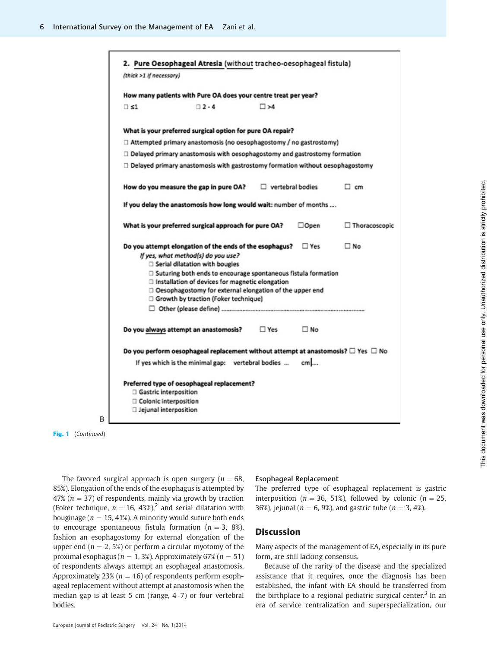| (thick >1 if necessary)                          |                                                                                                                                                                                                                                                                                                                                                                          |                         |           |               |
|--------------------------------------------------|--------------------------------------------------------------------------------------------------------------------------------------------------------------------------------------------------------------------------------------------------------------------------------------------------------------------------------------------------------------------------|-------------------------|-----------|---------------|
|                                                  | How many patients with Pure OA does your centre treat per year?                                                                                                                                                                                                                                                                                                          |                         |           |               |
| $\Box$ si                                        | $72 - 4$                                                                                                                                                                                                                                                                                                                                                                 | $\square$ >4            |           |               |
|                                                  | What is your preferred surgical option for pure OA repair?                                                                                                                                                                                                                                                                                                               |                         |           |               |
|                                                  | □ Attempted primary anastomosis (no oesophagostomy / no gastrostomy)                                                                                                                                                                                                                                                                                                     |                         |           |               |
|                                                  | $\Box$ Delayed primary anastomosis with oesophagostomy and gastrostomy formation                                                                                                                                                                                                                                                                                         |                         |           |               |
|                                                  | $\Box$ Delayed primary anastomosis with gastrostomy formation without oesophagostomy                                                                                                                                                                                                                                                                                     |                         |           |               |
|                                                  | How do you measure the gap in pure OA?                                                                                                                                                                                                                                                                                                                                   | $\Box$ vertebral bodies |           | $\Box$ cm     |
|                                                  | If you delay the anastomosis how long would wait: number of months                                                                                                                                                                                                                                                                                                       |                         |           |               |
|                                                  | What is your preferred surgical approach for pure OA?                                                                                                                                                                                                                                                                                                                    |                         | □Open     | Thoracoscopic |
|                                                  | Do you attempt elongation of the ends of the esophagus? $\square$ Yes<br>If yes, what method(s) do you use?<br>Serial dilatation with bougies<br>□ Suturing both ends to encourage spontaneous fistula formation<br>□ Installation of devices for magnetic elongation<br>Oesophagostomy for external elongation of the upper end<br>Growth by traction (Foker technique) |                         |           | $\square$ No  |
|                                                  | Do you always attempt an anastomosis?                                                                                                                                                                                                                                                                                                                                    | $\Box$ Yes              | $\Box$ No |               |
|                                                  | Do you perform oesophageal replacement without attempt at anastomosis? $\Box$ Yes $\Box$ No                                                                                                                                                                                                                                                                              |                         |           |               |
|                                                  | If yes which is the minimal gap: vertebral bodies                                                                                                                                                                                                                                                                                                                        |                         | $cm$      |               |
| Gastric interposition<br>□ Jejunal interposition | Preferred type of oesophageal replacement?<br>□ Colonic interposition                                                                                                                                                                                                                                                                                                    |                         |           |               |

Fig. 1 (Continued)

B

The favored surgical approach is open surgery ( $n = 68$ , 85%). Elongation of the ends of the esophagus is attempted by 47% ( $n = 37$ ) of respondents, mainly via growth by traction (Foker technique,  $n = 16$ , 43%),<sup>2</sup> and serial dilatation with bouginage ( $n = 15, 41\%$ ). A minority would suture both ends to encourage spontaneous fistula formation ( $n = 3$ , 8%), fashion an esophagostomy for external elongation of the upper end ( $n = 2, 5\%$ ) or perform a circular myotomy of the proximal esophagus ( $n = 1, 3\%$ ). Approximately 67% ( $n = 51$ ) of respondents always attempt an esophageal anastomosis. Approximately 23% ( $n = 16$ ) of respondents perform esophageal replacement without attempt at anastomosis when the median gap is at least 5 cm ([range,](http://range) 4–7) or four vertebral bodies.

# Esophageal Replacement

The preferred type of esophageal replacement is gastric interposition ( $n = 36, 51\%$ ), followed by colonic ( $n = 25$ , 36%), jejunal ( $n = 6$ , 9%), and gastric tube ( $n = 3$ , 4%).

# **Discussion**

Many aspects of the management of EA, especially in its pure form, are still lacking consensus.

Because of the rarity of the disease and the specialized assistance that it requires, once the diagnosis has been established, the infant with EA should be transferred from the birthplace to a regional pediatric surgical center.<sup>3</sup> In an era of service centralization and superspecialization, our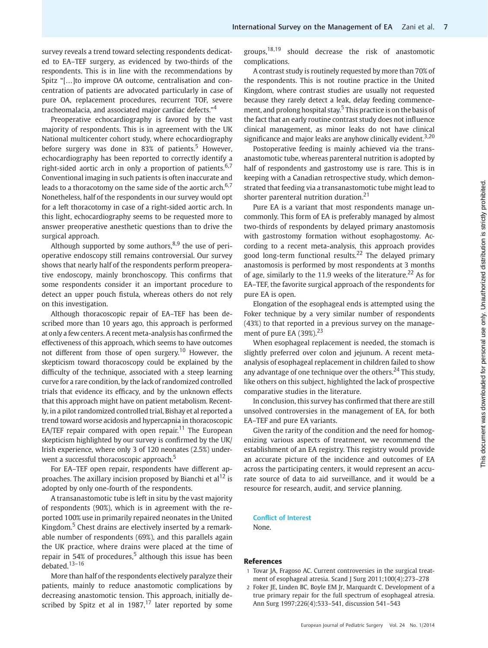survey reveals a trend toward selecting respondents dedicated to EA–TEF surgery, as evidenced by two-thirds of the respondents. This is in line with the recommendations by Spitz "[…]to improve OA outcome, centralisation and concentration of patients are advocated particularly in case of pure OA, replacement procedures, recurrent TOF, severe tracheomalacia, and associated major cardiac defects." 4

Preoperative echocardiography is favored by the vast majority of respondents. This is in agreement with the UK National multicenter cohort study, where echocardiography before surgery was done in 83% of patients.<sup>5</sup> However, echocardiography has been reported to correctly identify a right-sided aortic arch in only a proportion of patients. $6,7$ Conventional imaging in such patients is often inaccurate and leads to a thoracotomy on the same side of the aortic arch. $6,7$ Nonetheless, half of the respondents in our survey would opt for a left thoracotomy in case of a right-sided aortic arch. In this light, echocardiography seems to be requested more to answer preoperative anesthetic questions than to drive the surgical approach.

Although supported by some authors,  $8.9$  the use of perioperative endoscopy still remains controversial. Our survey shows that nearly half of the respondents perform preoperative endoscopy, mainly bronchoscopy. This confirms that some respondents consider it an important procedure to detect an upper pouch fistula, whereas others do not rely on this investigation.

Although thoracoscopic repair of EA–TEF has been described more than 10 years ago, this approach is performed at only a few centers. A recent meta-analysis has confirmed the effectiveness of this approach, which seems to have outcomes not different from those of open surgery.<sup>10</sup> However, the skepticism toward thoracoscopy could be explained by the difficulty of the technique, associated with a steep learning curve for a rare condition, by the lack of randomized controlled trials that evidence its efficacy, and by the unknown effects that this approach might have on patient metabolism. Recently, in a pilot randomized controlled trial, Bishay et al reported a trend toward worse acidosis and hypercapnia in thoracoscopic EA/TEF repair compared with open repair.<sup>11</sup> The European skepticism highlighted by our survey is confirmed by the UK/ Irish experience, where only 3 of 120 neonates (2.5%) underwent a successful thoracoscopic approach.<sup>5</sup>

For EA–TEF open repair, respondents have different approaches. The axillary incision proposed by Bianchi et al<sup>12</sup> is adopted by only one-fourth of the respondents.

A transanastomotic tube is left in situ by the vast majority of respondents (90%), which is in agreement with the reported 100% use in primarily repaired neonates in the United Kingdom.<sup>5</sup> Chest drains are electively inserted by a remarkable number of respondents (69%), and this parallels again the UK practice, where drains were placed at the time of repair in 54% of procedures,<sup>5</sup> although this issue has been debated.13–<sup>16</sup>

More than half of the respondents electively paralyze their patients, mainly to reduce anastomotic complications by decreasing anastomotic tension. This approach, initially described by Spitz et al in  $1987$ ,<sup>17</sup> later reported by some

groups,18,19 should decrease the risk of anastomotic complications.

A contrast study is routinely requested by more than 70% of the respondents. This is not routine practice in the United Kingdom, where contrast studies are usually not requested because they rarely detect a leak, delay feeding commencement, and prolong hospital stay.<sup>5</sup> This practice is on the basis of the fact that an early routine contrast study does not influence clinical management, as minor leaks do not have clinical significance and major leaks are anyhow clinically evident.<sup>3,20</sup>

Postoperative feeding is mainly achieved via the transanastomotic tube, whereas parenteral nutrition is adopted by half of respondents and gastrostomy use is rare. This is in keeping with a Canadian retrospective study, which demonstrated that feeding via a transanastomotic tube might lead to shorter parenteral nutrition duration.<sup>21</sup>

Pure EA is a variant that most respondents manage uncommonly. This form of EA is preferably managed by almost two-thirds of respondents by delayed primary anastomosis with gastrostomy formation without esophagostomy. According to a recent meta-analysis, this approach provides good long-term functional results.<sup>22</sup> The delayed primary anastomosis is performed by most respondents at 3 months of age, similarly to the 11.9 weeks of the literature.<sup>22</sup> As for EA–TEF, the favorite surgical approach of the respondents for pure EA is open.

Elongation of the esophageal ends is attempted using the Foker technique by a very similar number of respondents (43%) to that reported in a previous survey on the management of pure EA  $(39\%)$ <sup>23</sup>

When esophageal replacement is needed, the stomach is slightly preferred over colon and jejunum. A recent metaanalysis of esophageal replacement in children failed to show any advantage of one technique over the others.<sup>24</sup> This study, like others on this subject, highlighted the lack of prospective comparative studies in the literature.

In conclusion, this survey has confirmed that there are still unsolved controversies in the management of EA, for both EA–TEF and pure EA variants.

Given the rarity of the condition and the need for homogenizing various aspects of treatment, we recommend the establishment of an EA registry. This registry would provide an accurate picture of the incidence and outcomes of EA across the participating centers, it would represent an accurate source of data to aid surveillance, and it would be a resource for research, audit, and service planning.

#### Conflict of Interest

None.

# References

- 1 Tovar JA, Fragoso AC. Current controversies in the surgical treatment of esophageal atresia. Scand J Surg 2011;100(4):273-278
- 2 Foker JE, Linden BC, Boyle EM Jr, Marquardt C. Development of a true primary repair for the full spectrum of esophageal atresia. Ann Surg 1997;226(4):533–541, discussion 541–543